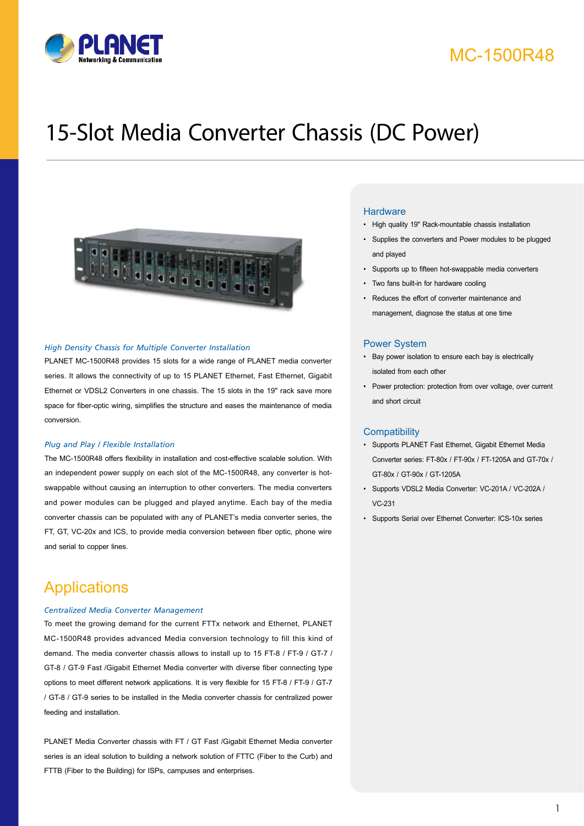

## MC-1500R48

# 15-Slot Media Converter Chassis (DC Power)



#### *High Density Chassis for Multiple Converter Installation*

PLANET MC-1500R48 provides 15 slots for a wide range of PLANET media converter series. It allows the connectivity of up to 15 PLANET Ethernet, Fast Ethernet, Gigabit Ethernet or VDSL2 Converters in one chassis. The 15 slots in the 19" rack save more space for fiber-optic wiring, simplifies the structure and eases the maintenance of media conversion.

#### *Plug and Play / Flexible Installation*

The MC-1500R48 offers flexibility in installation and cost-effective scalable solution. With an independent power supply on each slot of the MC-1500R48, any converter is hotswappable without causing an interruption to other converters. The media converters and power modules can be plugged and played anytime. Each bay of the media converter chassis can be populated with any of PLANET's media converter series, the FT, GT, VC-20x and ICS, to provide media conversion between fiber optic, phone wire and serial to copper lines.

### **Applications**

#### *Centralized Media Converter Management*

To meet the growing demand for the current FTTx network and Ethernet, PLANET MC-1500R48 provides advanced Media conversion technology to fill this kind of demand. The media converter chassis allows to install up to 15 FT-8 / FT-9 / GT-7 / GT-8 / GT-9 Fast /Gigabit Ethernet Media converter with diverse fiber connecting type options to meet different network applications. It is very flexible for 15 FT-8 / FT-9 / GT-7 / GT-8 / GT-9 series to be installed in the Media converter chassis for centralized power feeding and installation.

PLANET Media Converter chassis with FT / GT Fast /Gigabit Ethernet Media converter series is an ideal solution to building a network solution of FTTC (Fiber to the Curb) and FTTB (Fiber to the Building) for ISPs, campuses and enterprises.

#### **Hardware**

- High quality 19" Rack-mountable chassis installation
- Supplies the converters and Power modules to be plugged and played
- Supports up to fifteen hot-swappable media converters
- Two fans built-in for hardware cooling
- Reduces the effort of converter maintenance and management, diagnose the status at one time

#### Power System

- Bay power isolation to ensure each bay is electrically isolated from each other
- Power protection: protection from over voltage, over current and short circuit

#### **Compatibility**

- Supports PLANET Fast Ethernet, Gigabit Ethernet Media Converter series: FT-80x / FT-90x / FT-1205A and GT-70x / GT-80x / GT-90x / GT-1205A
- Supports VDSL2 Media Converter: VC-201A / VC-202A / VC-231
- Supports Serial over Ethernet Converter: ICS-10x series